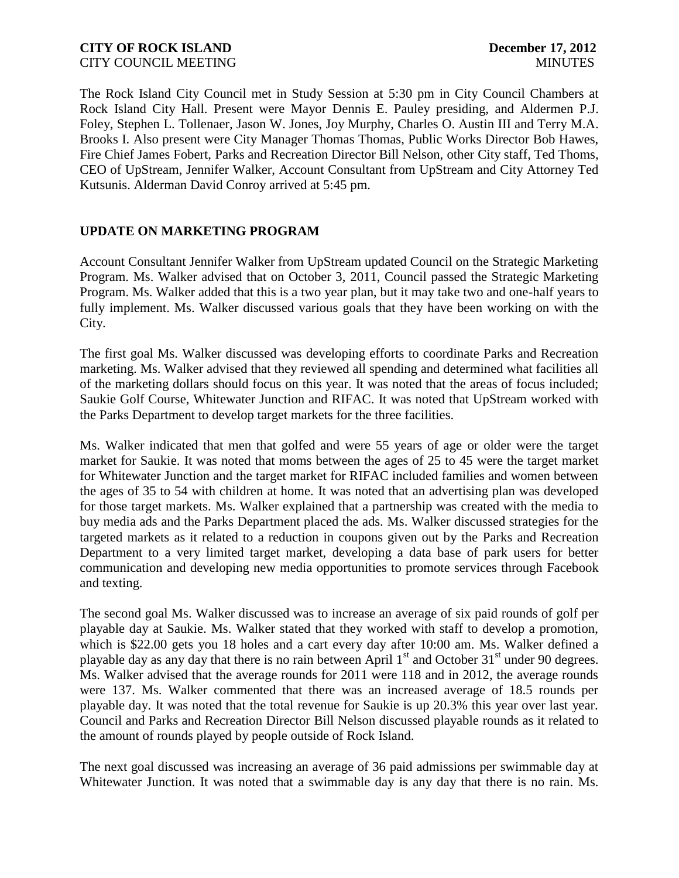### **CITY OF ROCK ISLAND December 17, 2012** CITY COUNCIL MEETING MINUTES

The Rock Island City Council met in Study Session at 5:30 pm in City Council Chambers at Rock Island City Hall. Present were Mayor Dennis E. Pauley presiding, and Aldermen P.J. Foley, Stephen L. Tollenaer, Jason W. Jones, Joy Murphy, Charles O. Austin III and Terry M.A. Brooks I. Also present were City Manager Thomas Thomas, Public Works Director Bob Hawes, Fire Chief James Fobert, Parks and Recreation Director Bill Nelson, other City staff, Ted Thoms, CEO of UpStream, Jennifer Walker, Account Consultant from UpStream and City Attorney Ted Kutsunis. Alderman David Conroy arrived at 5:45 pm.

## **UPDATE ON MARKETING PROGRAM**

Account Consultant Jennifer Walker from UpStream updated Council on the Strategic Marketing Program. Ms. Walker advised that on October 3, 2011, Council passed the Strategic Marketing Program. Ms. Walker added that this is a two year plan, but it may take two and one-half years to fully implement. Ms. Walker discussed various goals that they have been working on with the City.

The first goal Ms. Walker discussed was developing efforts to coordinate Parks and Recreation marketing. Ms. Walker advised that they reviewed all spending and determined what facilities all of the marketing dollars should focus on this year. It was noted that the areas of focus included; Saukie Golf Course, Whitewater Junction and RIFAC. It was noted that UpStream worked with the Parks Department to develop target markets for the three facilities.

Ms. Walker indicated that men that golfed and were 55 years of age or older were the target market for Saukie. It was noted that moms between the ages of 25 to 45 were the target market for Whitewater Junction and the target market for RIFAC included families and women between the ages of 35 to 54 with children at home. It was noted that an advertising plan was developed for those target markets. Ms. Walker explained that a partnership was created with the media to buy media ads and the Parks Department placed the ads. Ms. Walker discussed strategies for the targeted markets as it related to a reduction in coupons given out by the Parks and Recreation Department to a very limited target market, developing a data base of park users for better communication and developing new media opportunities to promote services through Facebook and texting.

The second goal Ms. Walker discussed was to increase an average of six paid rounds of golf per playable day at Saukie. Ms. Walker stated that they worked with staff to develop a promotion, which is \$22.00 gets you 18 holes and a cart every day after 10:00 am. Ms. Walker defined a playable day as any day that there is no rain between April  $1<sup>st</sup>$  and October 31 $<sup>st</sup>$  under 90 degrees.</sup> Ms. Walker advised that the average rounds for 2011 were 118 and in 2012, the average rounds were 137. Ms. Walker commented that there was an increased average of 18.5 rounds per playable day. It was noted that the total revenue for Saukie is up 20.3% this year over last year. Council and Parks and Recreation Director Bill Nelson discussed playable rounds as it related to the amount of rounds played by people outside of Rock Island.

The next goal discussed was increasing an average of 36 paid admissions per swimmable day at Whitewater Junction. It was noted that a swimmable day is any day that there is no rain. Ms.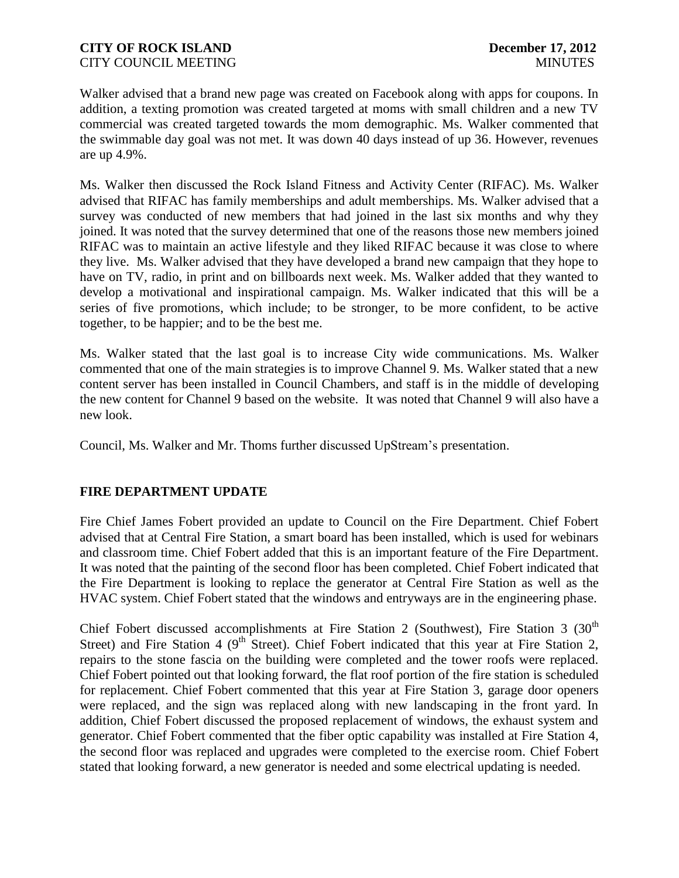Walker advised that a brand new page was created on Facebook along with apps for coupons. In addition, a texting promotion was created targeted at moms with small children and a new TV commercial was created targeted towards the mom demographic. Ms. Walker commented that the swimmable day goal was not met. It was down 40 days instead of up 36. However, revenues are up 4.9%.

Ms. Walker then discussed the Rock Island Fitness and Activity Center (RIFAC). Ms. Walker advised that RIFAC has family memberships and adult memberships. Ms. Walker advised that a survey was conducted of new members that had joined in the last six months and why they joined. It was noted that the survey determined that one of the reasons those new members joined RIFAC was to maintain an active lifestyle and they liked RIFAC because it was close to where they live. Ms. Walker advised that they have developed a brand new campaign that they hope to have on TV, radio, in print and on billboards next week. Ms. Walker added that they wanted to develop a motivational and inspirational campaign. Ms. Walker indicated that this will be a series of five promotions, which include; to be stronger, to be more confident, to be active together, to be happier; and to be the best me.

Ms. Walker stated that the last goal is to increase City wide communications. Ms. Walker commented that one of the main strategies is to improve Channel 9. Ms. Walker stated that a new content server has been installed in Council Chambers, and staff is in the middle of developing the new content for Channel 9 based on the website. It was noted that Channel 9 will also have a new look.

Council, Ms. Walker and Mr. Thoms further discussed UpStream's presentation.

## **FIRE DEPARTMENT UPDATE**

Fire Chief James Fobert provided an update to Council on the Fire Department. Chief Fobert advised that at Central Fire Station, a smart board has been installed, which is used for webinars and classroom time. Chief Fobert added that this is an important feature of the Fire Department. It was noted that the painting of the second floor has been completed. Chief Fobert indicated that the Fire Department is looking to replace the generator at Central Fire Station as well as the HVAC system. Chief Fobert stated that the windows and entryways are in the engineering phase.

Chief Fobert discussed accomplishments at Fire Station 2 (Southwest), Fire Station 3 (30<sup>th</sup> Street) and Fire Station 4 ( $9<sup>th</sup>$  Street). Chief Fobert indicated that this year at Fire Station 2, repairs to the stone fascia on the building were completed and the tower roofs were replaced. Chief Fobert pointed out that looking forward, the flat roof portion of the fire station is scheduled for replacement. Chief Fobert commented that this year at Fire Station 3, garage door openers were replaced, and the sign was replaced along with new landscaping in the front yard. In addition, Chief Fobert discussed the proposed replacement of windows, the exhaust system and generator. Chief Fobert commented that the fiber optic capability was installed at Fire Station 4, the second floor was replaced and upgrades were completed to the exercise room. Chief Fobert stated that looking forward, a new generator is needed and some electrical updating is needed.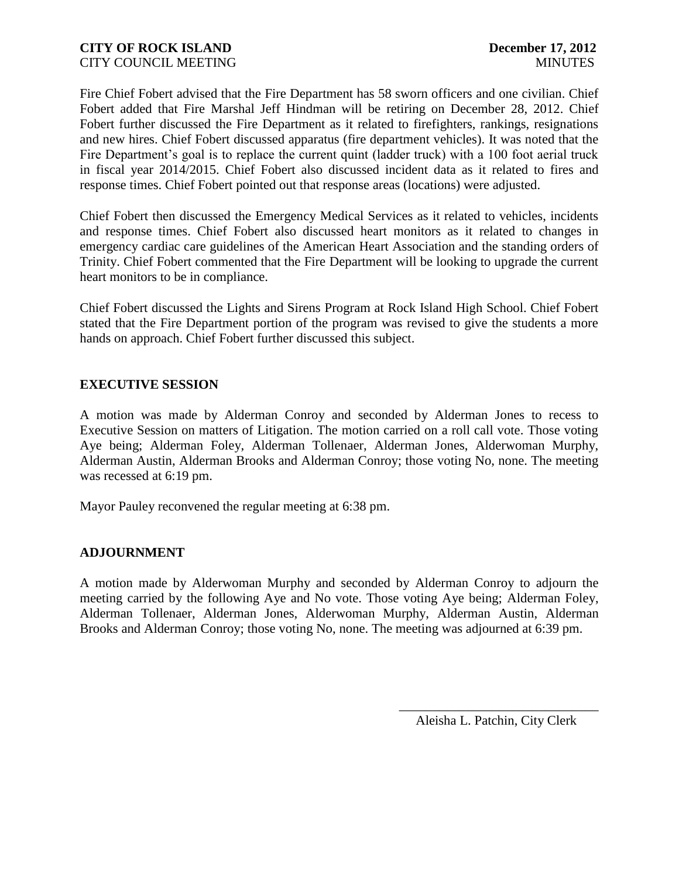Fire Chief Fobert advised that the Fire Department has 58 sworn officers and one civilian. Chief Fobert added that Fire Marshal Jeff Hindman will be retiring on December 28, 2012. Chief Fobert further discussed the Fire Department as it related to firefighters, rankings, resignations and new hires. Chief Fobert discussed apparatus (fire department vehicles). It was noted that the Fire Department's goal is to replace the current quint (ladder truck) with a 100 foot aerial truck in fiscal year 2014/2015. Chief Fobert also discussed incident data as it related to fires and response times. Chief Fobert pointed out that response areas (locations) were adjusted.

Chief Fobert then discussed the Emergency Medical Services as it related to vehicles, incidents and response times. Chief Fobert also discussed heart monitors as it related to changes in emergency cardiac care guidelines of the American Heart Association and the standing orders of Trinity. Chief Fobert commented that the Fire Department will be looking to upgrade the current heart monitors to be in compliance.

Chief Fobert discussed the Lights and Sirens Program at Rock Island High School. Chief Fobert stated that the Fire Department portion of the program was revised to give the students a more hands on approach. Chief Fobert further discussed this subject.

### **EXECUTIVE SESSION**

A motion was made by Alderman Conroy and seconded by Alderman Jones to recess to Executive Session on matters of Litigation. The motion carried on a roll call vote. Those voting Aye being; Alderman Foley, Alderman Tollenaer, Alderman Jones, Alderwoman Murphy, Alderman Austin, Alderman Brooks and Alderman Conroy; those voting No, none. The meeting was recessed at 6:19 pm.

Mayor Pauley reconvened the regular meeting at 6:38 pm.

### **ADJOURNMENT**

A motion made by Alderwoman Murphy and seconded by Alderman Conroy to adjourn the meeting carried by the following Aye and No vote. Those voting Aye being; Alderman Foley, Alderman Tollenaer, Alderman Jones, Alderwoman Murphy, Alderman Austin, Alderman Brooks and Alderman Conroy; those voting No, none. The meeting was adjourned at 6:39 pm.

> \_\_\_\_\_\_\_\_\_\_\_\_\_\_\_\_\_\_\_\_\_\_\_\_\_\_\_\_\_\_ Aleisha L. Patchin, City Clerk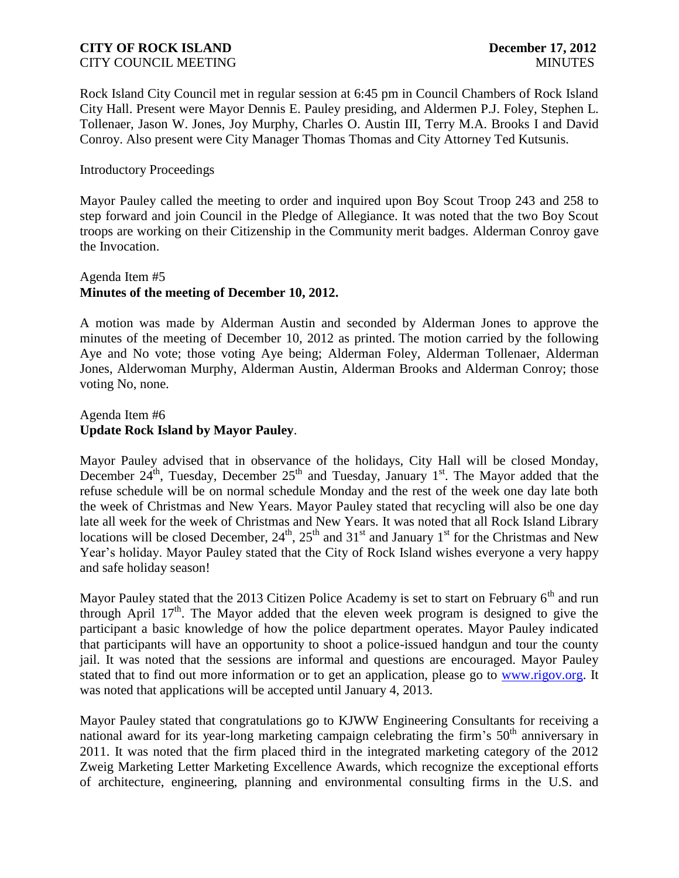Rock Island City Council met in regular session at 6:45 pm in Council Chambers of Rock Island City Hall. Present were Mayor Dennis E. Pauley presiding, and Aldermen P.J. Foley, Stephen L. Tollenaer, Jason W. Jones, Joy Murphy, Charles O. Austin III, Terry M.A. Brooks I and David Conroy. Also present were City Manager Thomas Thomas and City Attorney Ted Kutsunis.

### Introductory Proceedings

Mayor Pauley called the meeting to order and inquired upon Boy Scout Troop 243 and 258 to step forward and join Council in the Pledge of Allegiance. It was noted that the two Boy Scout troops are working on their Citizenship in the Community merit badges. Alderman Conroy gave the Invocation.

### Agenda Item #5 **Minutes of the meeting of December 10, 2012.**

A motion was made by Alderman Austin and seconded by Alderman Jones to approve the minutes of the meeting of December 10, 2012 as printed. The motion carried by the following Aye and No vote; those voting Aye being; Alderman Foley, Alderman Tollenaer, Alderman Jones, Alderwoman Murphy, Alderman Austin, Alderman Brooks and Alderman Conroy; those voting No, none.

### Agenda Item #6 **Update Rock Island by Mayor Pauley**.

Mayor Pauley advised that in observance of the holidays, City Hall will be closed Monday, December  $24^{th}$ , Tuesday, December  $25^{th}$  and Tuesday, January 1<sup>st</sup>. The Mayor added that the refuse schedule will be on normal schedule Monday and the rest of the week one day late both the week of Christmas and New Years. Mayor Pauley stated that recycling will also be one day late all week for the week of Christmas and New Years. It was noted that all Rock Island Library locations will be closed December,  $24^{\text{th}}$ ,  $25^{\text{th}}$  and  $31^{\text{st}}$  and January 1<sup>st</sup> for the Christmas and New Year's holiday. Mayor Pauley stated that the City of Rock Island wishes everyone a very happy and safe holiday season!

Mayor Pauley stated that the 2013 Citizen Police Academy is set to start on February  $6<sup>th</sup>$  and run through April  $17<sup>th</sup>$ . The Mayor added that the eleven week program is designed to give the participant a basic knowledge of how the police department operates. Mayor Pauley indicated that participants will have an opportunity to shoot a police-issued handgun and tour the county jail. It was noted that the sessions are informal and questions are encouraged. Mayor Pauley stated that to find out more information or to get an application, please go to [www.rigov.org.](http://www.rigov.org/) It was noted that applications will be accepted until January 4, 2013.

Mayor Pauley stated that congratulations go to KJWW Engineering Consultants for receiving a national award for its year-long marketing campaign celebrating the firm's 50<sup>th</sup> anniversary in 2011. It was noted that the firm placed third in the integrated marketing category of the 2012 Zweig Marketing Letter Marketing Excellence Awards, which recognize the exceptional efforts of architecture, engineering, planning and environmental consulting firms in the U.S. and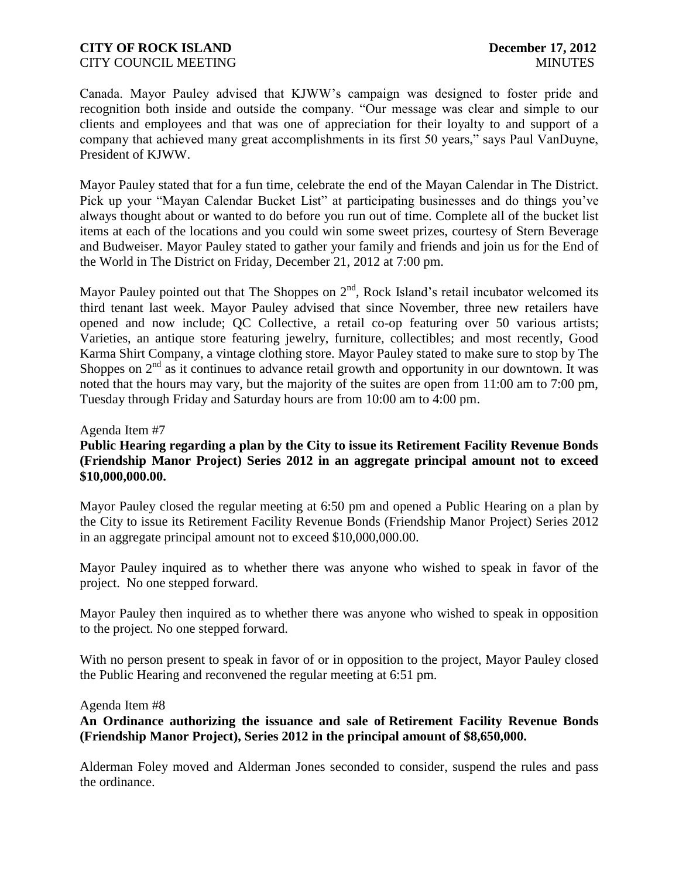Canada. Mayor Pauley advised that KJWW's campaign was designed to foster pride and recognition both inside and outside the company. "Our message was clear and simple to our clients and employees and that was one of appreciation for their loyalty to and support of a company that achieved many great accomplishments in its first 50 years," says Paul VanDuyne, President of KJWW.

Mayor Pauley stated that for a fun time, celebrate the end of the Mayan Calendar in The District. Pick up your "Mayan Calendar Bucket List" at participating businesses and do things you've always thought about or wanted to do before you run out of time. Complete all of the bucket list items at each of the locations and you could win some sweet prizes, courtesy of Stern Beverage and Budweiser. Mayor Pauley stated to gather your family and friends and join us for the End of the World in The District on Friday, December 21, 2012 at 7:00 pm.

Mayor Pauley pointed out that The Shoppes on  $2<sup>nd</sup>$ , Rock Island's retail incubator welcomed its third tenant last week. Mayor Pauley advised that since November, three new retailers have opened and now include; QC Collective, a retail co-op featuring over 50 various artists; Varieties, an antique store featuring jewelry, furniture, collectibles; and most recently, Good Karma Shirt Company, a vintage clothing store. Mayor Pauley stated to make sure to stop by The Shoppes on  $2<sup>nd</sup>$  as it continues to advance retail growth and opportunity in our downtown. It was noted that the hours may vary, but the majority of the suites are open from 11:00 am to 7:00 pm, Tuesday through Friday and Saturday hours are from 10:00 am to 4:00 pm.

### Agenda Item #7

### **Public Hearing regarding a plan by the City to issue its Retirement Facility Revenue Bonds (Friendship Manor Project) Series 2012 in an aggregate principal amount not to exceed \$10,000,000.00.**

Mayor Pauley closed the regular meeting at 6:50 pm and opened a Public Hearing on a plan by the City to issue its Retirement Facility Revenue Bonds (Friendship Manor Project) Series 2012 in an aggregate principal amount not to exceed \$10,000,000.00.

Mayor Pauley inquired as to whether there was anyone who wished to speak in favor of the project. No one stepped forward.

Mayor Pauley then inquired as to whether there was anyone who wished to speak in opposition to the project. No one stepped forward.

With no person present to speak in favor of or in opposition to the project, Mayor Pauley closed the Public Hearing and reconvened the regular meeting at 6:51 pm.

### Agenda Item #8

**An Ordinance authorizing the issuance and sale of Retirement Facility Revenue Bonds (Friendship Manor Project), Series 2012 in the principal amount of \$8,650,000.** 

Alderman Foley moved and Alderman Jones seconded to consider, suspend the rules and pass the ordinance.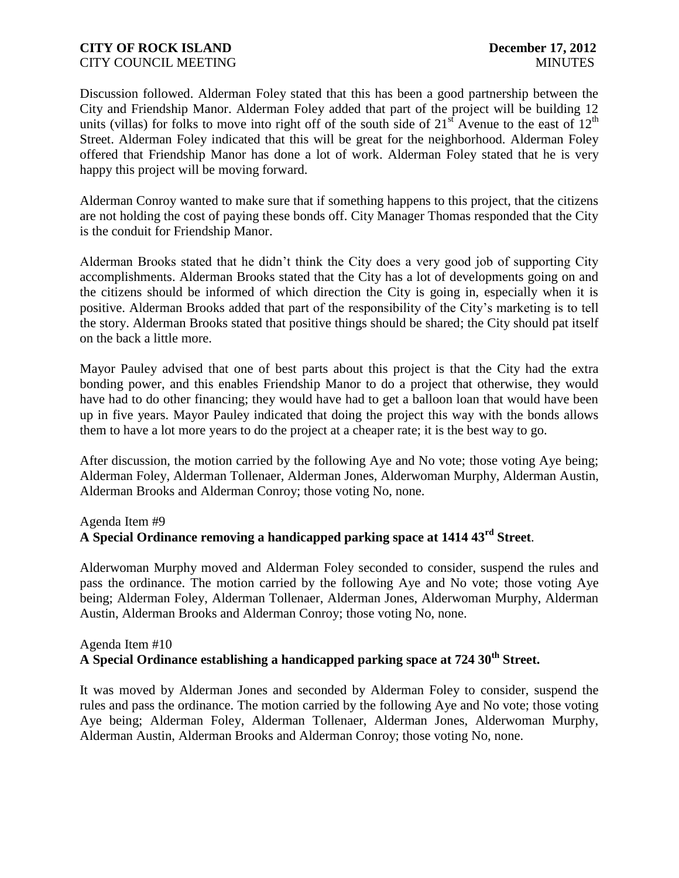Discussion followed. Alderman Foley stated that this has been a good partnership between the City and Friendship Manor. Alderman Foley added that part of the project will be building 12 units (villas) for folks to move into right off of the south side of  $21<sup>st</sup>$  Avenue to the east of  $12<sup>th</sup>$ Street. Alderman Foley indicated that this will be great for the neighborhood. Alderman Foley offered that Friendship Manor has done a lot of work. Alderman Foley stated that he is very happy this project will be moving forward.

Alderman Conroy wanted to make sure that if something happens to this project, that the citizens are not holding the cost of paying these bonds off. City Manager Thomas responded that the City is the conduit for Friendship Manor.

Alderman Brooks stated that he didn't think the City does a very good job of supporting City accomplishments. Alderman Brooks stated that the City has a lot of developments going on and the citizens should be informed of which direction the City is going in, especially when it is positive. Alderman Brooks added that part of the responsibility of the City's marketing is to tell the story. Alderman Brooks stated that positive things should be shared; the City should pat itself on the back a little more.

Mayor Pauley advised that one of best parts about this project is that the City had the extra bonding power, and this enables Friendship Manor to do a project that otherwise, they would have had to do other financing; they would have had to get a balloon loan that would have been up in five years. Mayor Pauley indicated that doing the project this way with the bonds allows them to have a lot more years to do the project at a cheaper rate; it is the best way to go.

After discussion, the motion carried by the following Aye and No vote; those voting Aye being; Alderman Foley, Alderman Tollenaer, Alderman Jones, Alderwoman Murphy, Alderman Austin, Alderman Brooks and Alderman Conroy; those voting No, none.

## Agenda Item #9

## **A Special Ordinance removing a handicapped parking space at 1414 43rd Street**.

Alderwoman Murphy moved and Alderman Foley seconded to consider, suspend the rules and pass the ordinance. The motion carried by the following Aye and No vote; those voting Aye being; Alderman Foley, Alderman Tollenaer, Alderman Jones, Alderwoman Murphy, Alderman Austin, Alderman Brooks and Alderman Conroy; those voting No, none.

## Agenda Item #10 **A Special Ordinance establishing a handicapped parking space at 724 30th Street.**

It was moved by Alderman Jones and seconded by Alderman Foley to consider, suspend the rules and pass the ordinance. The motion carried by the following Aye and No vote; those voting Aye being; Alderman Foley, Alderman Tollenaer, Alderman Jones, Alderwoman Murphy, Alderman Austin, Alderman Brooks and Alderman Conroy; those voting No, none.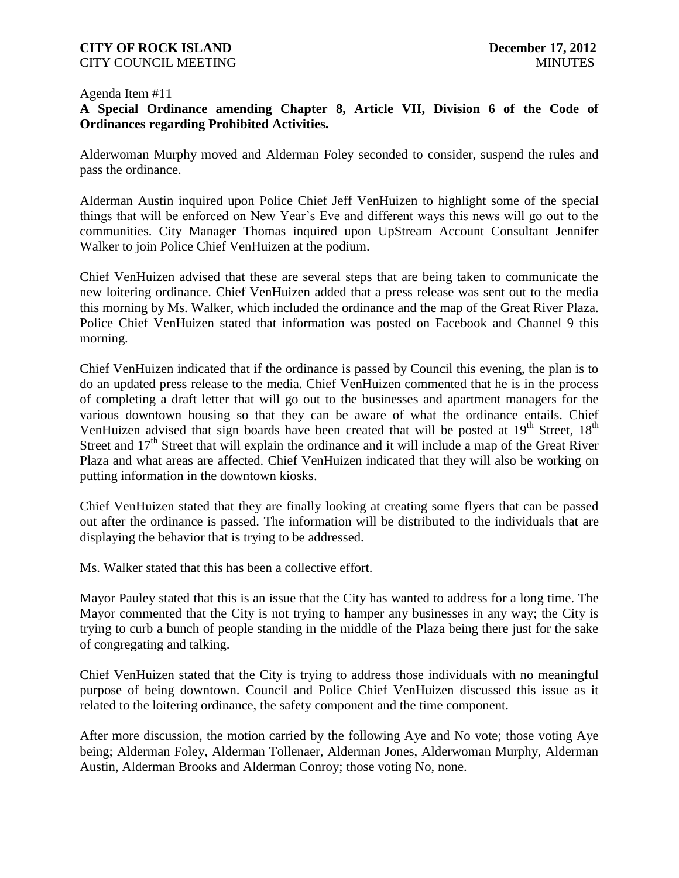### **CITY OF ROCK ISLAND December 17, 2012** CITY COUNCIL MEETING MINUTES

#### Agenda Item #11

## **A Special Ordinance amending Chapter 8, Article VII, Division 6 of the Code of Ordinances regarding Prohibited Activities.**

Alderwoman Murphy moved and Alderman Foley seconded to consider, suspend the rules and pass the ordinance.

Alderman Austin inquired upon Police Chief Jeff VenHuizen to highlight some of the special things that will be enforced on New Year's Eve and different ways this news will go out to the communities. City Manager Thomas inquired upon UpStream Account Consultant Jennifer Walker to join Police Chief VenHuizen at the podium.

Chief VenHuizen advised that these are several steps that are being taken to communicate the new loitering ordinance. Chief VenHuizen added that a press release was sent out to the media this morning by Ms. Walker, which included the ordinance and the map of the Great River Plaza. Police Chief VenHuizen stated that information was posted on Facebook and Channel 9 this morning.

Chief VenHuizen indicated that if the ordinance is passed by Council this evening, the plan is to do an updated press release to the media. Chief VenHuizen commented that he is in the process of completing a draft letter that will go out to the businesses and apartment managers for the various downtown housing so that they can be aware of what the ordinance entails. Chief VenHuizen advised that sign boards have been created that will be posted at  $19<sup>th</sup>$  Street,  $18<sup>th</sup>$ Street and  $17<sup>th</sup>$  Street that will explain the ordinance and it will include a map of the Great River Plaza and what areas are affected. Chief VenHuizen indicated that they will also be working on putting information in the downtown kiosks.

Chief VenHuizen stated that they are finally looking at creating some flyers that can be passed out after the ordinance is passed. The information will be distributed to the individuals that are displaying the behavior that is trying to be addressed.

Ms. Walker stated that this has been a collective effort.

Mayor Pauley stated that this is an issue that the City has wanted to address for a long time. The Mayor commented that the City is not trying to hamper any businesses in any way; the City is trying to curb a bunch of people standing in the middle of the Plaza being there just for the sake of congregating and talking.

Chief VenHuizen stated that the City is trying to address those individuals with no meaningful purpose of being downtown. Council and Police Chief VenHuizen discussed this issue as it related to the loitering ordinance, the safety component and the time component.

After more discussion, the motion carried by the following Aye and No vote; those voting Aye being; Alderman Foley, Alderman Tollenaer, Alderman Jones, Alderwoman Murphy, Alderman Austin, Alderman Brooks and Alderman Conroy; those voting No, none.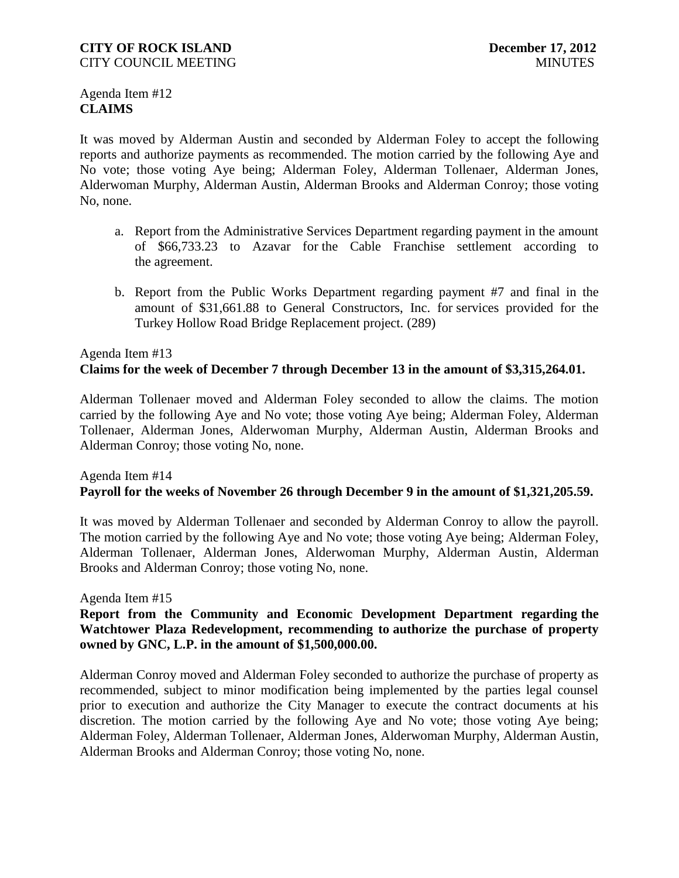Agenda Item #12 **CLAIMS**

It was moved by Alderman Austin and seconded by Alderman Foley to accept the following reports and authorize payments as recommended. The motion carried by the following Aye and No vote; those voting Aye being; Alderman Foley, Alderman Tollenaer, Alderman Jones, Alderwoman Murphy, Alderman Austin, Alderman Brooks and Alderman Conroy; those voting No, none.

- a. Report from the Administrative Services Department regarding payment in the amount of \$66,733.23 to Azavar for the Cable Franchise settlement according to the agreement.
- b. Report from the Public Works Department regarding payment #7 and final in the amount of \$31,661.88 to General Constructors, Inc. for services provided for the Turkey Hollow Road Bridge Replacement project. (289)

# Agenda Item #13 **Claims for the week of December 7 through December 13 in the amount of \$3,315,264.01.**

Alderman Tollenaer moved and Alderman Foley seconded to allow the claims. The motion carried by the following Aye and No vote; those voting Aye being; Alderman Foley, Alderman Tollenaer, Alderman Jones, Alderwoman Murphy, Alderman Austin, Alderman Brooks and Alderman Conroy; those voting No, none.

## Agenda Item #14 **Payroll for the weeks of November 26 through December 9 in the amount of \$1,321,205.59.**

It was moved by Alderman Tollenaer and seconded by Alderman Conroy to allow the payroll. The motion carried by the following Aye and No vote; those voting Aye being; Alderman Foley, Alderman Tollenaer, Alderman Jones, Alderwoman Murphy, Alderman Austin, Alderman Brooks and Alderman Conroy; those voting No, none.

### Agenda Item #15

### **Report from the Community and Economic Development Department regarding the Watchtower Plaza Redevelopment, recommending to authorize the purchase of property owned by GNC, L.P. in the amount of \$1,500,000.00.**

Alderman Conroy moved and Alderman Foley seconded to authorize the purchase of property as recommended, subject to minor modification being implemented by the parties legal counsel prior to execution and authorize the City Manager to execute the contract documents at his discretion. The motion carried by the following Aye and No vote; those voting Aye being; Alderman Foley, Alderman Tollenaer, Alderman Jones, Alderwoman Murphy, Alderman Austin, Alderman Brooks and Alderman Conroy; those voting No, none.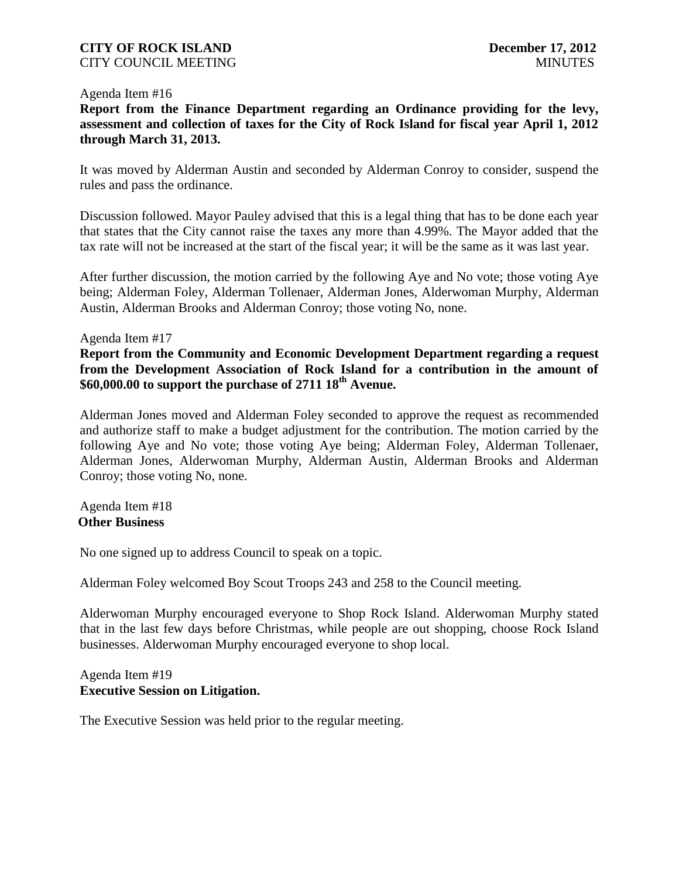#### Agenda Item #16

**Report from the Finance Department regarding an Ordinance providing for the levy, assessment and collection of taxes for the City of Rock Island for fiscal year April 1, 2012 through March 31, 2013.**

It was moved by Alderman Austin and seconded by Alderman Conroy to consider, suspend the rules and pass the ordinance.

Discussion followed. Mayor Pauley advised that this is a legal thing that has to be done each year that states that the City cannot raise the taxes any more than 4.99%. The Mayor added that the tax rate will not be increased at the start of the fiscal year; it will be the same as it was last year.

After further discussion, the motion carried by the following Aye and No vote; those voting Aye being; Alderman Foley, Alderman Tollenaer, Alderman Jones, Alderwoman Murphy, Alderman Austin, Alderman Brooks and Alderman Conroy; those voting No, none.

#### Agenda Item #17

## **Report from the Community and Economic Development Department regarding a request from the Development Association of Rock Island for a contribution in the amount of \$60,000.00 to support the purchase of 2711 18th Avenue.**

Alderman Jones moved and Alderman Foley seconded to approve the request as recommended and authorize staff to make a budget adjustment for the contribution. The motion carried by the following Aye and No vote; those voting Aye being; Alderman Foley, Alderman Tollenaer, Alderman Jones, Alderwoman Murphy, Alderman Austin, Alderman Brooks and Alderman Conroy; those voting No, none.

### Agenda Item #18 **Other Business**

No one signed up to address Council to speak on a topic.

Alderman Foley welcomed Boy Scout Troops 243 and 258 to the Council meeting.

Alderwoman Murphy encouraged everyone to Shop Rock Island. Alderwoman Murphy stated that in the last few days before Christmas, while people are out shopping, choose Rock Island businesses. Alderwoman Murphy encouraged everyone to shop local.

### Agenda Item #19 **Executive Session on Litigation.**

The Executive Session was held prior to the regular meeting.